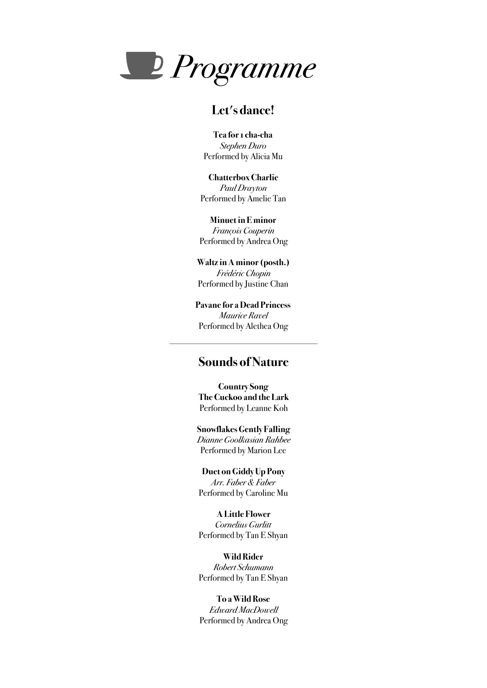

# **Let's dance!**

**Tea for 1 cha-cha**  *Stephen Duro* Performed by Alicia Mu

**Chatterbox Charlie**  *Paul Drayton*  Performed by Amelie Tan

**Minuet in E minor** 

*François Couperin*  Performed by Andrea Ong

**Waltz in A minor (posth.)**  *Frédéric Chopin*  Performed by Justine Chan

**Pavane for a Dead Princess**  *Maurice Ravel*  Performed by Alethea Ong

### **Sounds of Nature**

**Country Song The Cuckoo and the Lark**  Performed by Leanne Koh

**Snowflakes Gently Falling**  *Dianne Goolkasian Rahbee*  Performed by Marion Lee

**Duet on Giddy Up Pony**  *Arr. Faber & Faber*  Performed by Caroline Mu

**A Little Flower**  *Cornelius Gurlitt*  Performed by Tan E Shyan

**Wild Rider**  *Robert Schumann*  Performed by Tan E Shyan

**To a Wild Rose**  *Edward MacDowell*  Performed by Andrea Ong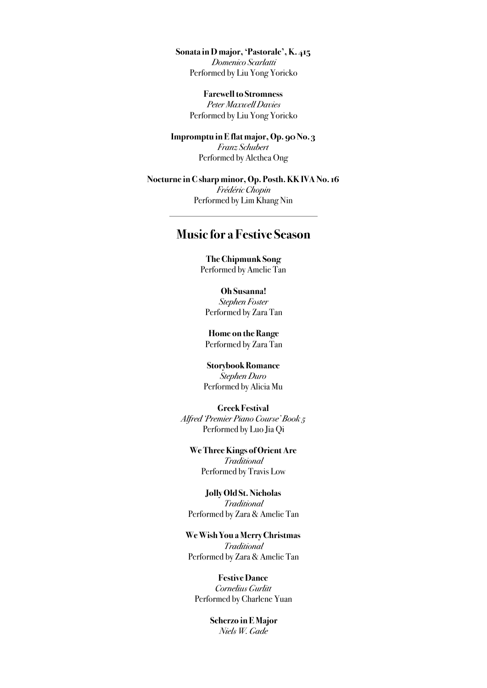**Sonata in D major, 'Pastorale', K. 415** 

*Domenico Scarlatti* Performed by Liu Yong Yoricko

**Farewell to Stromness**  *Peter Maxwell Davies*  Performed by Liu Yong Yoricko

**Impromptu in E flat major, Op. 90 No. 3**  *Franz Schubert*  Performed by Alethea Ong

**Nocturne in C sharp minor, Op. Posth. KK IVA No. 16**  *Frédéric Chopin*  Performed by Lim Khang Nin

## **Music for a Festive Season**

**The Chipmunk Song**  Performed by Amelie Tan

**Oh Susanna!**  *Stephen Foster*  Performed by Zara Tan

**Home on the Range**  Performed by Zara Tan

**Storybook Romance**  *Stephen Duro*  Performed by Alicia Mu

**Greek Festival**  *Alfred 'Premier Piano Course' Book 5*  Performed by Luo Jia Qi

**We Three Kings of Orient Are**  *Traditional*  Performed by Travis Low

**Jolly Old St. Nicholas**  *Traditional*  Performed by Zara & Amelie Tan

**We Wish You a Merry Christmas**  *Traditional*  Performed by Zara & Amelie Tan

**Festive Dance**  *Cornelius Gurlitt*  Performed by Charlene Yuan

> **Scherzo in E Major**  *Niels W. Gade*